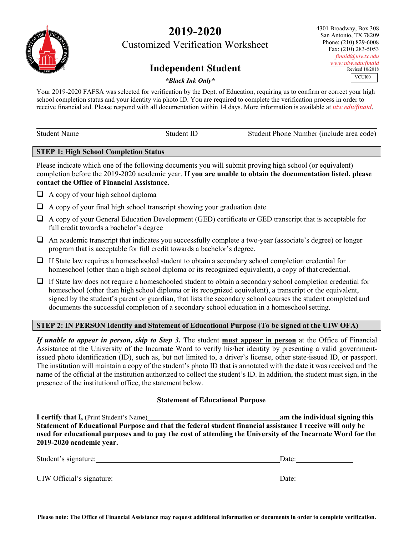# **2019-2020**

Customized Verification Worksheet

## **Independent Student**

4301 Broadway, Box 308 San Antonio, TX 78209 Phone: (210) 829-6008 Fax: (210) 283-5053 *[finaid@uiwtx.edu](mailto:finaid@uiwtx.edu) [www.uiw.edu/finaid](http://www.uiw.edu/finaid)* Revised 10/2018 VCUI00

## *\*Black Ink Only\**

Your 2019-2020 FAFSA was selected for verification by the Dept. of Education, requiring us to confirm or correct your high school completion status and your identity via photo ID. You are required to complete the verification process in order to receive financial aid. Please respond with all documentation within 14 days. More information is available at *uiw.edu/finaid*.

| <b>Student Name</b> | Student ID | Student Phone Number (include area code) |
|---------------------|------------|------------------------------------------|
|                     |            |                                          |

#### **STEP 1: High School Completion Status**

Please indicate which one of the following documents you will submit proving high school (or equivalent) completion before the 2019-2020 academic year. **If you are unable to obtain the documentation listed, please contact the Office of Financial Assistance.**

- $\Box$  A copy of your high school diploma
- $\Box$  A copy of your final high school transcript showing your graduation date
- A copy of your General Education Development (GED) certificate or GED transcript that is acceptable for full credit towards a bachelor's degree
- $\Box$  An academic transcript that indicates you successfully complete a two-year (associate's degree) or longer program that is acceptable for full credit towards a bachelor's degree.
- $\Box$  If State law requires a homeschooled student to obtain a secondary school completion credential for homeschool (other than a high school diploma or its recognized equivalent), a copy of that credential.
- $\Box$  If State law does not require a homeschooled student to obtain a secondary school completion credential for homeschool (other than high school diploma or its recognized equivalent), a transcript or the equivalent, signed by the student's parent or guardian, that lists the secondary school courses the student completed and documents the successful completion of a secondary school education in a homeschool setting.

## **STEP 2: IN PERSON Identity and Statement of Educational Purpose (To be signed at the UIW OFA)**

*If unable to appear in person, skip to Step 3.* The student **must appear in person** at the Office of Financial Assistance at the University of the Incarnate Word to verify his/her identity by presenting a valid governmentissued photo identification (ID), such as, but not limited to, a driver's license, other state-issued ID, or passport. The institution will maintain a copy of the student's photo ID that is annotated with the date it was received and the name of the official at the institution authorized to collect the student's ID. In addition, the student must sign, in the presence of the institutional office, the statement below.

## **Statement of Educational Purpose**

**I certify that I,** (Print Student's Name) **am the individual signing this Statement of Educational Purpose and that the federal student financial assistance I receive will only be used for educational purposes and to pay the cost of attending the University of the Incarnate Word for the 2019-2020 academic year.**

| Student's signature:      | Date: |  |
|---------------------------|-------|--|
| UIW Official's signature: | Date: |  |